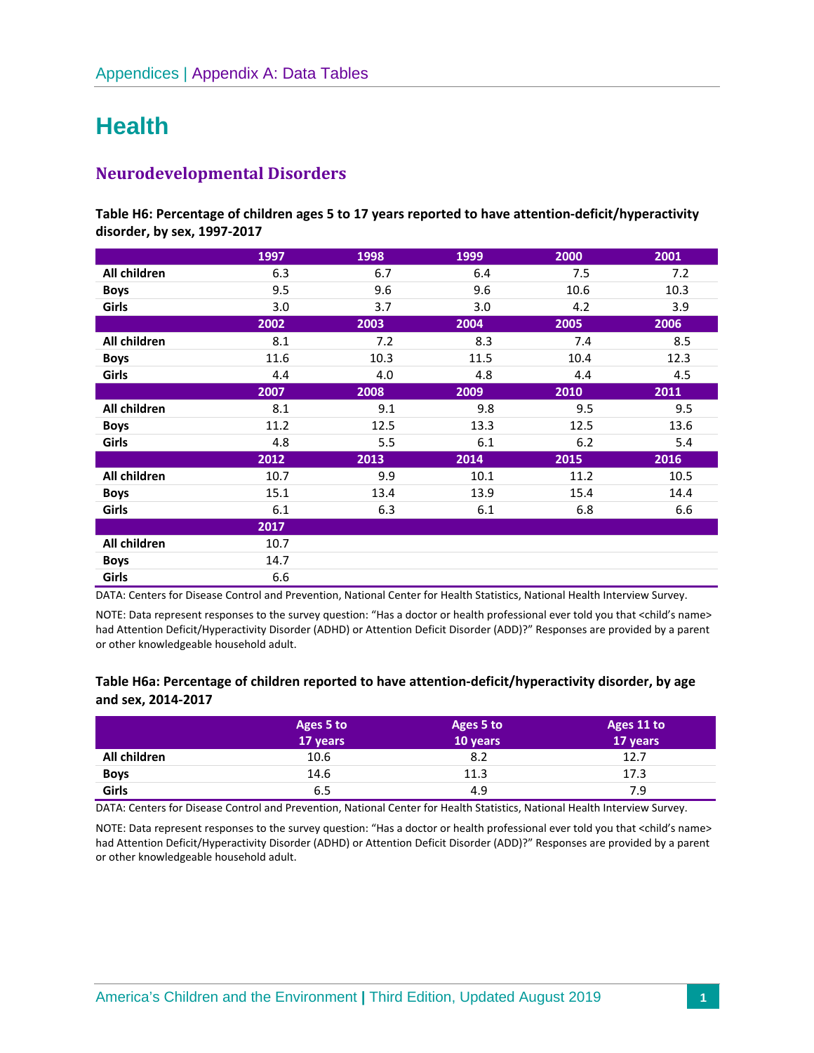# **Health**

# **Neurodevelopmental Disorders**

**Table H6: Percentage of children ages 5 to 17 years reported to have attention-deficit/hyperactivity disorder, by sex, 1997-2017** 

|              | 1997 | 1998 | 1999 | 2000 | 2001 |
|--------------|------|------|------|------|------|
| All children | 6.3  | 6.7  | 6.4  | 7.5  | 7.2  |
| <b>Boys</b>  | 9.5  | 9.6  | 9.6  | 10.6 | 10.3 |
| Girls        | 3.0  | 3.7  | 3.0  | 4.2  | 3.9  |
|              | 2002 | 2003 | 2004 | 2005 | 2006 |
| All children | 8.1  | 7.2  | 8.3  | 7.4  | 8.5  |
| <b>Boys</b>  | 11.6 | 10.3 | 11.5 | 10.4 | 12.3 |
| Girls        | 4.4  | 4.0  | 4.8  | 4.4  | 4.5  |
|              | 2007 | 2008 | 2009 | 2010 | 2011 |
| All children | 8.1  | 9.1  | 9.8  | 9.5  | 9.5  |
| <b>Boys</b>  | 11.2 | 12.5 | 13.3 | 12.5 | 13.6 |
| Girls        | 4.8  | 5.5  | 6.1  | 6.2  | 5.4  |
|              | 2012 | 2013 | 2014 | 2015 | 2016 |
| All children | 10.7 | 9.9  | 10.1 | 11.2 | 10.5 |
| <b>Boys</b>  | 15.1 | 13.4 | 13.9 | 15.4 | 14.4 |
| Girls        | 6.1  | 6.3  | 6.1  | 6.8  | 6.6  |
|              | 2017 |      |      |      |      |
| All children | 10.7 |      |      |      |      |
| <b>Boys</b>  | 14.7 |      |      |      |      |
| Girls        | 6.6  |      |      |      |      |

DATA: Centers for Disease Control and Prevention, National Center for Health Statistics, National Health Interview Survey.

NOTE: Data represent responses to the survey question: "Has a doctor or health professional ever told you that <child's name> had Attention Deficit/Hyperactivity Disorder (ADHD) or Attention Deficit Disorder (ADD)?" Responses are provided by a parent or other knowledgeable household adult.

## **Table H6a: Percentage of children reported to have attention-deficit/hyperactivity disorder, by age and sex, 2014-2017**

|              | Ages 5 to<br>17 years | Ages 5 to<br>10 years | Ages 11 to<br>17 years |
|--------------|-----------------------|-----------------------|------------------------|
| All children | 10.6                  | 8.2                   | 12.7                   |
| <b>Boys</b>  | 14.6                  | 11.3                  | 17.3                   |
| Girls        | 6.5                   | 4.9                   | 7.9                    |

DATA: Centers for Disease Control and Prevention, National Center for Health Statistics, National Health Interview Survey.

NOTE: Data represent responses to the survey question: "Has a doctor or health professional ever told you that <child's name> had Attention Deficit/Hyperactivity Disorder (ADHD) or Attention Deficit Disorder (ADD)?" Responses are provided by a parent or other knowledgeable household adult.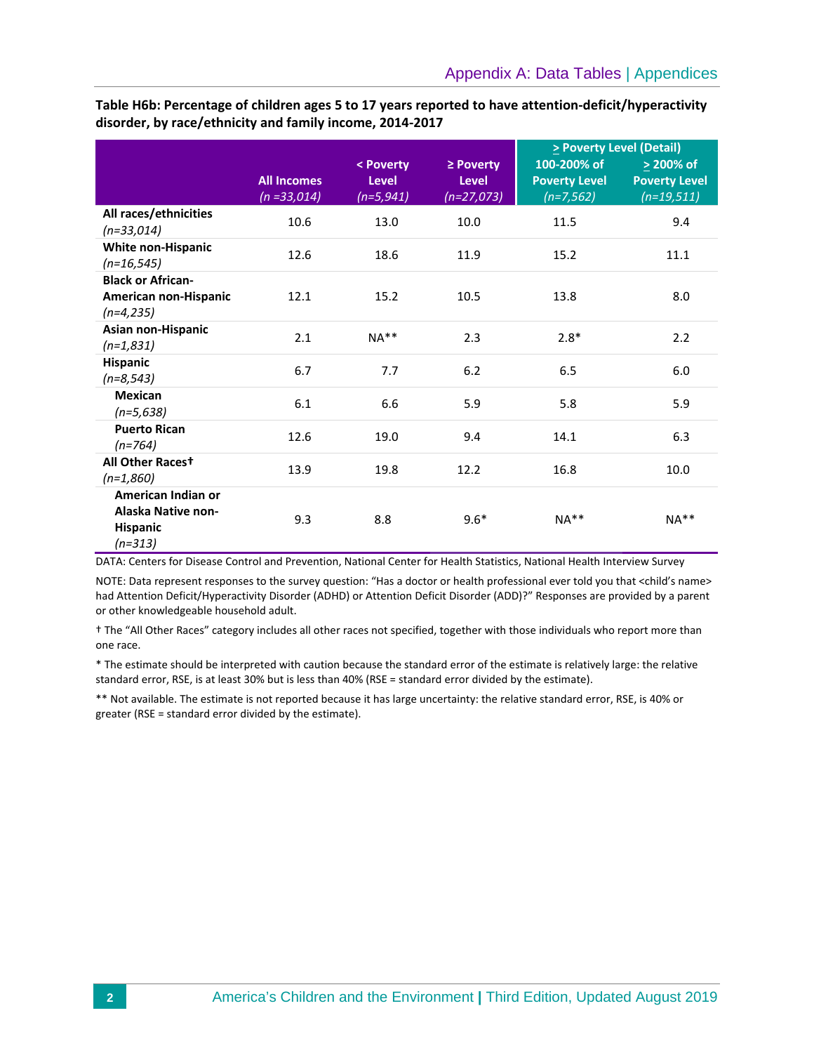|                                                                                 |                                      |                                        |                                               | $\ge$ Poverty Level (Detail)                       |                                                    |  |
|---------------------------------------------------------------------------------|--------------------------------------|----------------------------------------|-----------------------------------------------|----------------------------------------------------|----------------------------------------------------|--|
|                                                                                 | <b>All Incomes</b><br>$(n = 33,014)$ | < Poverty<br><b>Level</b><br>(n=5,941) | $\ge$ Poverty<br><b>Level</b><br>$(n=27,073)$ | 100-200% of<br><b>Poverty Level</b><br>$(n=7,562)$ | > 200% of<br><b>Poverty Level</b><br>$(n=19, 511)$ |  |
| All races/ethnicities<br>$(n=33,014)$                                           | 10.6                                 | 13.0                                   | 10.0                                          | 11.5                                               | 9.4                                                |  |
| <b>White non-Hispanic</b><br>$(n=16, 545)$                                      | 12.6                                 | 18.6                                   | 11.9                                          | 15.2                                               | 11.1                                               |  |
| <b>Black or African-</b><br>American non-Hispanic<br>$(n=4,235)$                | 12.1                                 | 15.2                                   | 10.5                                          | 13.8                                               | 8.0                                                |  |
| Asian non-Hispanic<br>$(n=1,831)$                                               | 2.1                                  | $NA**$                                 | 2.3                                           | $2.8*$                                             | 2.2                                                |  |
| <b>Hispanic</b><br>$(n=8, 543)$                                                 | 6.7                                  | 7.7                                    | 6.2                                           | 6.5                                                | 6.0                                                |  |
| <b>Mexican</b><br>$(n=5,638)$                                                   | 6.1                                  | 6.6                                    | 5.9                                           | 5.8                                                | 5.9                                                |  |
| <b>Puerto Rican</b><br>$(n=764)$                                                | 12.6                                 | 19.0                                   | 9.4                                           | 14.1                                               | 6.3                                                |  |
| All Other Racest<br>$(n=1,860)$                                                 | 13.9                                 | 19.8                                   | 12.2                                          | 16.8                                               | 10.0                                               |  |
| American Indian or<br><b>Alaska Native non-</b><br><b>Hispanic</b><br>$(n=313)$ | 9.3                                  | 8.8                                    | $9.6*$                                        | $NA**$                                             | $NA**$                                             |  |

**Table H6b: Percentage of children ages 5 to 17 years reported to have attention-deficit/hyperactivity disorder, by race/ethnicity and family income, 2014-2017**

DATA: Centers for Disease Control and Prevention, National Center for Health Statistics, National Health Interview Survey

NOTE: Data represent responses to the survey question: "Has a doctor or health professional ever told you that <child's name> had Attention Deficit/Hyperactivity Disorder (ADHD) or Attention Deficit Disorder (ADD)?" Responses are provided by a parent or other knowledgeable household adult.

† The "All Other Races" category includes all other races not specified, together with those individuals who report more than one race.

\* The estimate should be interpreted with caution because the standard error of the estimate is relatively large: the relative standard error, RSE, is at least 30% but is less than 40% (RSE = standard error divided by the estimate).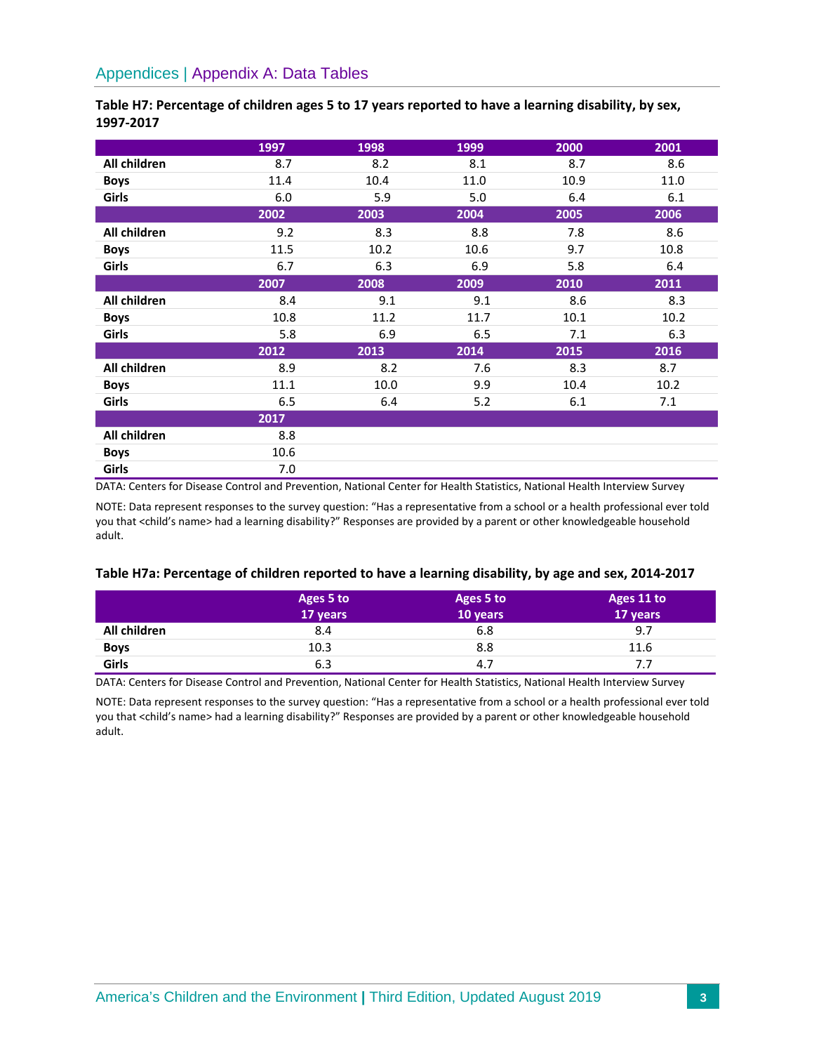|              | 1997 | 1998 | 1999 | 2000 | 2001 |
|--------------|------|------|------|------|------|
| All children | 8.7  | 8.2  | 8.1  | 8.7  | 8.6  |
| <b>Boys</b>  | 11.4 | 10.4 | 11.0 | 10.9 | 11.0 |
| <b>Girls</b> | 6.0  | 5.9  | 5.0  | 6.4  | 6.1  |
|              | 2002 | 2003 | 2004 | 2005 | 2006 |
| All children | 9.2  | 8.3  | 8.8  | 7.8  | 8.6  |
| <b>Boys</b>  | 11.5 | 10.2 | 10.6 | 9.7  | 10.8 |
| Girls        | 6.7  | 6.3  | 6.9  | 5.8  | 6.4  |
|              | 2007 | 2008 | 2009 | 2010 | 2011 |
| All children | 8.4  | 9.1  | 9.1  | 8.6  | 8.3  |
| <b>Boys</b>  | 10.8 | 11.2 | 11.7 | 10.1 | 10.2 |
| <b>Girls</b> | 5.8  | 6.9  | 6.5  | 7.1  | 6.3  |
|              | 2012 | 2013 | 2014 | 2015 | 2016 |
| All children | 8.9  | 8.2  | 7.6  | 8.3  | 8.7  |
| <b>Boys</b>  | 11.1 | 10.0 | 9.9  | 10.4 | 10.2 |
| Girls        | 6.5  | 6.4  | 5.2  | 6.1  | 7.1  |
|              | 2017 |      |      |      |      |
| All children | 8.8  |      |      |      |      |
| <b>Boys</b>  | 10.6 |      |      |      |      |
| Girls        | 7.0  |      |      |      |      |

## **Table H7: Percentage of children ages 5 to 17 years reported to have a learning disability, by sex, 1997-2017**

DATA: Centers for Disease Control and Prevention, National Center for Health Statistics, National Health Interview Survey

NOTE: Data represent responses to the survey question: "Has a representative from a school or a health professional ever told you that <child's name> had a learning disability?" Responses are provided by a parent or other knowledgeable household adult.

#### **Table H7a: Percentage of children reported to have a learning disability, by age and sex, 2014-2017**

|              | Ages 5 to | Ages 5 to | Ages 11 to |
|--------------|-----------|-----------|------------|
|              | 17 years  | 10 years  | 17 years   |
| All children | 8.4       | 6.8       | 9.7        |
| <b>Boys</b>  | 10.3      | 8.8       | 11.6       |
| Girls        | 6.3       | 4.7       | 7.7        |

DATA: Centers for Disease Control and Prevention, National Center for Health Statistics, National Health Interview Survey

NOTE: Data represent responses to the survey question: "Has a representative from a school or a health professional ever told you that <child's name> had a learning disability?" Responses are provided by a parent or other knowledgeable household adult.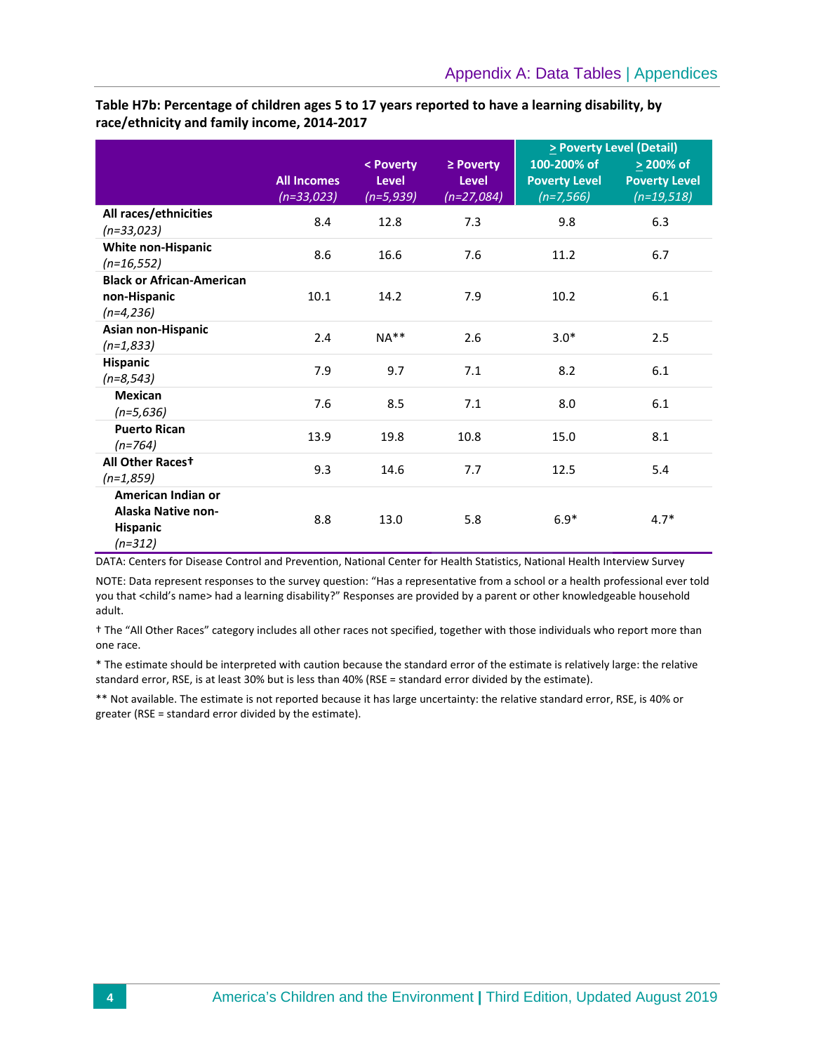**Table H7b: Percentage of children ages 5 to 17 years reported to have a learning disability, by race/ethnicity and family income, 2014-2017**

|                                                                                 |                                    |                                          |                                               | $\ge$ Poverty Level (Detail)                        |                                                        |  |
|---------------------------------------------------------------------------------|------------------------------------|------------------------------------------|-----------------------------------------------|-----------------------------------------------------|--------------------------------------------------------|--|
|                                                                                 | <b>All Incomes</b><br>$(n=33,023)$ | < Poverty<br><b>Level</b><br>$(n=5,939)$ | $\ge$ Poverty<br><b>Level</b><br>$(n=27,084)$ | 100-200% of<br><b>Poverty Level</b><br>$(n=7, 566)$ | $\geq$ 200% of<br><b>Poverty Level</b><br>$(n=19,518)$ |  |
| All races/ethnicities<br>$(n=33,023)$                                           | 8.4                                | 12.8                                     | 7.3                                           | 9.8                                                 | 6.3                                                    |  |
| White non-Hispanic<br>$(n=16, 552)$                                             | 8.6                                | 16.6                                     | 7.6                                           | 11.2                                                | 6.7                                                    |  |
| <b>Black or African-American</b><br>non-Hispanic<br>$(n=4,236)$                 | 10.1                               | 14.2                                     | 7.9                                           | 10.2                                                | 6.1                                                    |  |
| Asian non-Hispanic<br>$(n=1,833)$                                               | 2.4                                | $NA**$                                   | 2.6                                           | $3.0*$                                              | 2.5                                                    |  |
| <b>Hispanic</b><br>$(n=8, 543)$                                                 | 7.9                                | 9.7                                      | 7.1                                           | 8.2                                                 | 6.1                                                    |  |
| <b>Mexican</b><br>$(n=5,636)$                                                   | 7.6                                | 8.5                                      | 7.1                                           | 8.0                                                 | 6.1                                                    |  |
| <b>Puerto Rican</b><br>$(n=764)$                                                | 13.9                               | 19.8                                     | 10.8                                          | 15.0                                                | 8.1                                                    |  |
| All Other Racest<br>$(n=1,859)$                                                 | 9.3                                | 14.6                                     | 7.7                                           | 12.5                                                | 5.4                                                    |  |
| American Indian or<br><b>Alaska Native non-</b><br><b>Hispanic</b><br>$(n=312)$ | 8.8                                | 13.0                                     | 5.8                                           | $6.9*$                                              | $4.7*$                                                 |  |

DATA: Centers for Disease Control and Prevention, National Center for Health Statistics, National Health Interview Survey

NOTE: Data represent responses to the survey question: "Has a representative from a school or a health professional ever told you that <child's name> had a learning disability?" Responses are provided by a parent or other knowledgeable household adult.

† The "All Other Races" category includes all other races not specified, together with those individuals who report more than one race.

\* The estimate should be interpreted with caution because the standard error of the estimate is relatively large: the relative standard error, RSE, is at least 30% but is less than 40% (RSE = standard error divided by the estimate).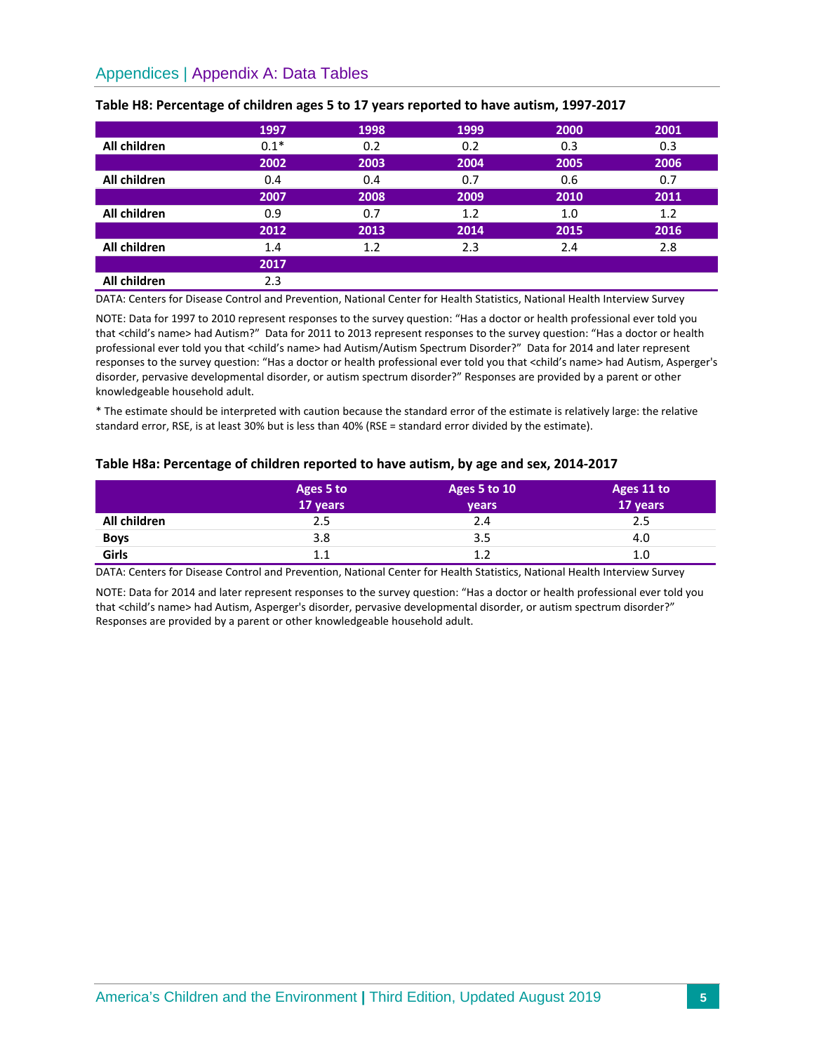# Appendices | Appendix A: Data Tables

|              | 1997   | 1998 | 1999 | 2000 | 2001 |
|--------------|--------|------|------|------|------|
| All children | $0.1*$ | 0.2  | 0.2  | 0.3  | 0.3  |
|              | 2002   | 2003 | 2004 | 2005 | 2006 |
| All children | 0.4    | 0.4  | 0.7  | 0.6  | 0.7  |
|              | 2007   | 2008 | 2009 | 2010 | 2011 |
| All children | 0.9    | 0.7  | 1.2  | 1.0  | 1.2  |
|              | 2012   | 2013 | 2014 | 2015 | 2016 |
| All children | 1.4    | 1.2  | 2.3  | 2.4  | 2.8  |
|              | 2017   |      |      |      |      |
| All children | 2.3    |      |      |      |      |

#### **Table H8: Percentage of children ages 5 to 17 years reported to have autism, 1997-2017**

DATA: Centers for Disease Control and Prevention, National Center for Health Statistics, National Health Interview Survey

NOTE: Data for 1997 to 2010 represent responses to the survey question: "Has a doctor or health professional ever told you that <child's name> had Autism?" Data for 2011 to 2013 represent responses to the survey question: "Has a doctor or health professional ever told you that <child's name> had Autism/Autism Spectrum Disorder?" Data for 2014 and later represent responses to the survey question: "Has a doctor or health professional ever told you that <child's name> had Autism, Asperger's disorder, pervasive developmental disorder, or autism spectrum disorder?" Responses are provided by a parent or other knowledgeable household adult.

\* The estimate should be interpreted with caution because the standard error of the estimate is relatively large: the relative standard error, RSE, is at least 30% but is less than 40% (RSE = standard error divided by the estimate).

#### **Table H8a: Percentage of children reported to have autism, by age and sex, 2014-2017**

|              | Ages 5 to<br>17 years | Ages 5 to 10<br><b>vears</b> | Ages 11 to<br>17 years |
|--------------|-----------------------|------------------------------|------------------------|
| All children | 2.5                   | 2.4                          | 2.5                    |
| <b>Boys</b>  | 3.8                   | 3.5                          | 4.0                    |
| Girls        | 1.1                   | 1.2                          | 1.0                    |

DATA: Centers for Disease Control and Prevention, National Center for Health Statistics, National Health Interview Survey

NOTE: Data for 2014 and later represent responses to the survey question: "Has a doctor or health professional ever told you that <child's name> had Autism, Asperger's disorder, pervasive developmental disorder, or autism spectrum disorder?" Responses are provided by a parent or other knowledgeable household adult.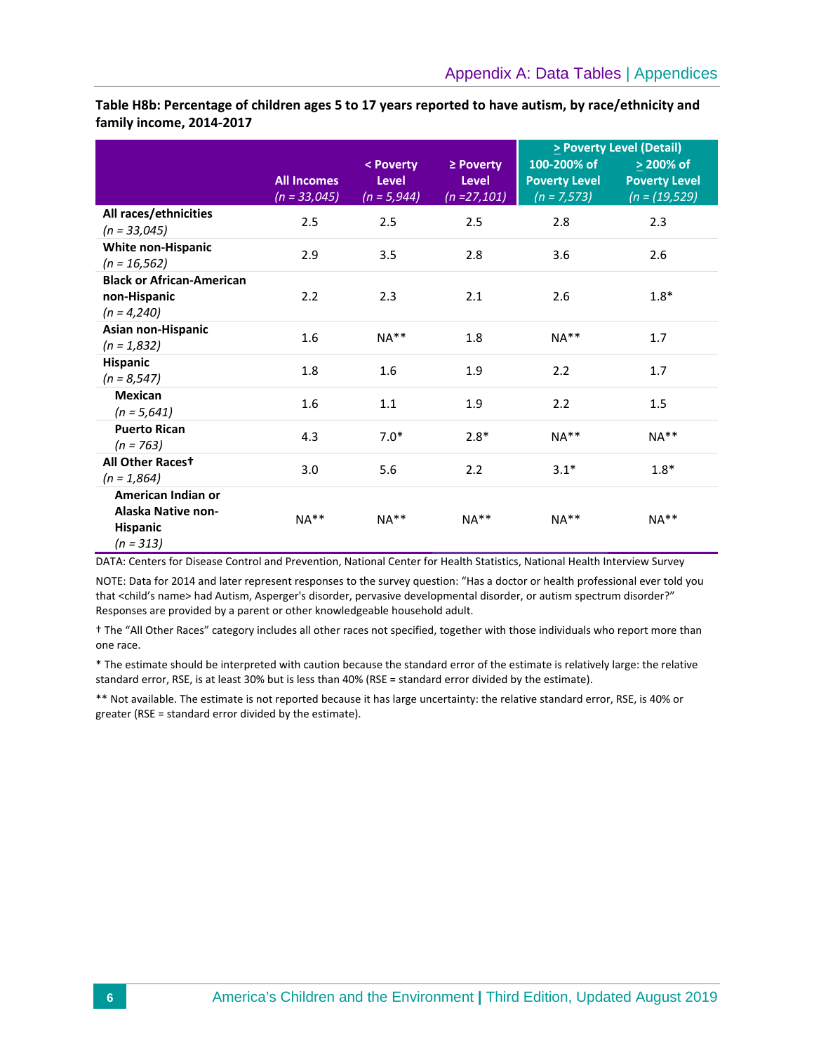**Table H8b: Percentage of children ages 5 to 17 years reported to have autism, by race/ethnicity and family income, 2014-2017** 

|                                                                                   |                                      |                               |                                 | > Poverty Level (Detail)              |                                           |  |
|-----------------------------------------------------------------------------------|--------------------------------------|-------------------------------|---------------------------------|---------------------------------------|-------------------------------------------|--|
|                                                                                   |                                      | < Poverty                     | $\ge$ Poverty                   | 100-200% of                           | $\geq$ 200% of                            |  |
|                                                                                   | <b>All Incomes</b><br>$(n = 33,045)$ | <b>Level</b><br>$(n = 5,944)$ | <b>Level</b><br>$(n = 27, 101)$ | <b>Poverty Level</b><br>$(n = 7,573)$ | <b>Poverty Level</b><br>$(n = (19, 529))$ |  |
| All races/ethnicities<br>$(n = 33,045)$                                           | 2.5                                  | 2.5                           | 2.5                             | 2.8                                   | 2.3                                       |  |
| <b>White non-Hispanic</b><br>$(n = 16, 562)$                                      | 2.9                                  | 3.5                           | 2.8                             | 3.6                                   | 2.6                                       |  |
| <b>Black or African-American</b><br>non-Hispanic<br>$(n = 4,240)$                 | 2.2                                  | 2.3                           | 2.1                             | 2.6                                   | $1.8*$                                    |  |
| Asian non-Hispanic<br>$(n = 1,832)$                                               | 1.6                                  | $NA**$                        | 1.8                             | $NA**$                                | 1.7                                       |  |
| <b>Hispanic</b><br>$(n = 8, 547)$                                                 | 1.8                                  | 1.6                           | 1.9                             | 2.2                                   | 1.7                                       |  |
| <b>Mexican</b><br>$(n = 5,641)$                                                   | 1.6                                  | 1.1                           | 1.9                             | 2.2                                   | 1.5                                       |  |
| <b>Puerto Rican</b><br>$(n = 763)$                                                | 4.3                                  | $7.0*$                        | $2.8*$                          | $NA**$                                | $NA**$                                    |  |
| All Other Racest<br>$(n = 1,864)$                                                 | 3.0                                  | 5.6                           | 2.2                             | $3.1*$                                | $1.8*$                                    |  |
| American Indian or<br><b>Alaska Native non-</b><br><b>Hispanic</b><br>$(n = 313)$ | $NA**$                               | $NA**$                        | $NA**$                          | $NA**$                                | $NA**$                                    |  |

DATA: Centers for Disease Control and Prevention, National Center for Health Statistics, National Health Interview Survey

NOTE: Data for 2014 and later represent responses to the survey question: "Has a doctor or health professional ever told you that <child's name> had Autism, Asperger's disorder, pervasive developmental disorder, or autism spectrum disorder?" Responses are provided by a parent or other knowledgeable household adult.

† The "All Other Races" category includes all other races not specified, together with those individuals who report more than one race.

\* The estimate should be interpreted with caution because the standard error of the estimate is relatively large: the relative standard error, RSE, is at least 30% but is less than 40% (RSE = standard error divided by the estimate).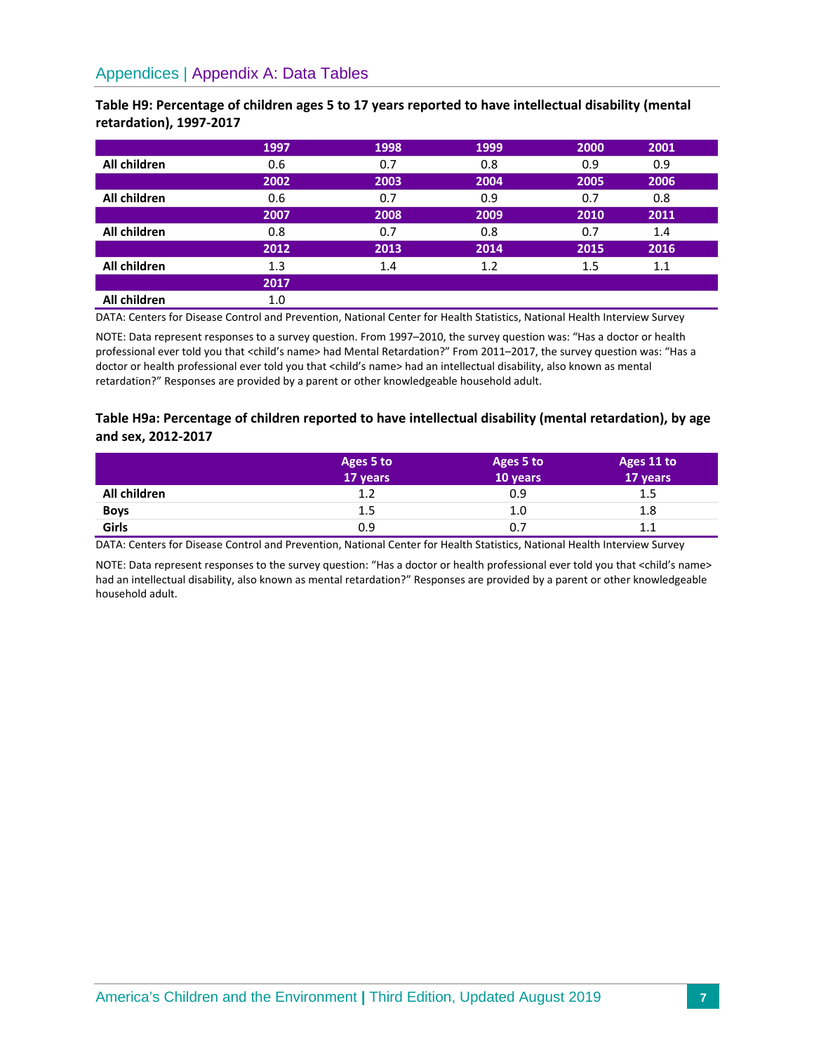# Appendices | Appendix A: Data Tables

**Table H9: Percentage of children ages 5 to 17 years reported to have intellectual disability (mental retardation), 1997-2017** 

|              | 1997 | 1998 | 1999 | 2000 | 2001 |  |
|--------------|------|------|------|------|------|--|
| All children | 0.6  | 0.7  | 0.8  | 0.9  | 0.9  |  |
|              | 2002 | 2003 | 2004 | 2005 | 2006 |  |
| All children | 0.6  | 0.7  | 0.9  | 0.7  | 0.8  |  |
|              | 2007 | 2008 | 2009 | 2010 | 2011 |  |
| All children | 0.8  | 0.7  | 0.8  | 0.7  | 1.4  |  |
|              | 2012 | 2013 | 2014 | 2015 | 2016 |  |
| All children | 1.3  | 1.4  | 1.2  | 1.5  | 1.1  |  |
|              | 2017 |      |      |      |      |  |
| All children | 1.0  |      |      |      |      |  |

DATA: Centers for Disease Control and Prevention, National Center for Health Statistics, National Health Interview Survey

NOTE: Data represent responses to a survey question. From 1997–2010, the survey question was: "Has a doctor or health professional ever told you that <child's name> had Mental Retardation?" From 2011-2017, the survey question was: "Has a doctor or health professional ever told you that <child's name> had an intellectual disability, also known as mental retardation?" Responses are provided by a parent or other knowledgeable household adult.

## **Table H9a: Percentage of children reported to have intellectual disability (mental retardation), by age and sex, 2012-2017**

|                      | Ages 5 to<br>17 years | Ages 5 to<br>10 years | Ages 11 to<br>17 years |
|----------------------|-----------------------|-----------------------|------------------------|
| All children         | 1.2                   | 0.9                   | 1.5                    |
|                      | 1.5                   | 1.0                   | 1.8                    |
| <b>Boys</b><br>Girls | 0.9                   | 0.7                   | $1.1\,$                |

DATA: Centers for Disease Control and Prevention, National Center for Health Statistics, National Health Interview Survey

NOTE: Data represent responses to the survey question: "Has a doctor or health professional ever told you that <child's name> had an intellectual disability, also known as mental retardation?" Responses are provided by a parent or other knowledgeable household adult.